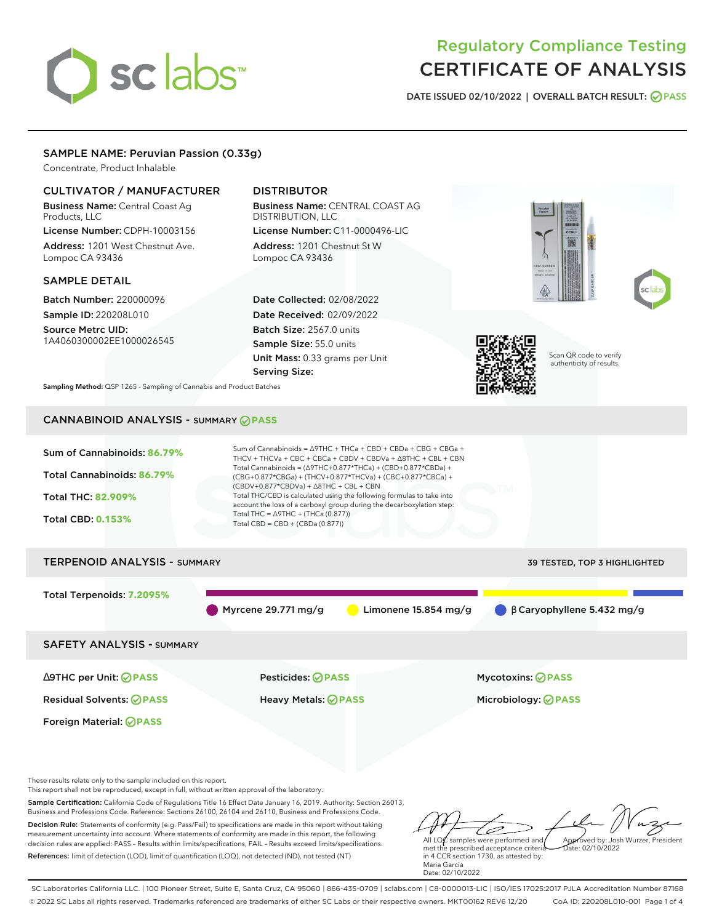# sclabs<sup>\*</sup>

# Regulatory Compliance Testing CERTIFICATE OF ANALYSIS

**DATE ISSUED 02/10/2022 | OVERALL BATCH RESULT: PASS**

# SAMPLE NAME: Peruvian Passion (0.33g)

Concentrate, Product Inhalable

# CULTIVATOR / MANUFACTURER

Business Name: Central Coast Ag Products, LLC License Number: CDPH-10003156

Address: 1201 West Chestnut Ave. Lompoc CA 93436

#### SAMPLE DETAIL

Batch Number: 220000096 Sample ID: 220208L010

Source Metrc UID: 1A4060300002EE1000026545

# DISTRIBUTOR

Business Name: CENTRAL COAST AG DISTRIBUTION, LLC License Number: C11-0000496-LIC

Address: 1201 Chestnut St W Lompoc CA 93436

Date Collected: 02/08/2022 Date Received: 02/09/2022 Batch Size: 2567.0 units Sample Size: 55.0 units Unit Mass: 0.33 grams per Unit Serving Size:







Scan QR code to verify authenticity of results.

**Sampling Method:** QSP 1265 - Sampling of Cannabis and Product Batches

# CANNABINOID ANALYSIS - SUMMARY **PASS**

| Sum of Cannabinoids: 86.79%<br>Total Cannabinoids: 86.79%<br><b>Total THC: 82,909%</b><br><b>Total CBD: 0.153%</b> | Sum of Cannabinoids = $\triangle$ 9THC + THCa + CBD + CBDa + CBG + CBGa +<br>THCV + THCVa + CBC + CBCa + CBDV + CBDVa + $\triangle$ 8THC + CBL + CBN<br>Total Cannabinoids = $(\Delta$ 9THC+0.877*THCa) + (CBD+0.877*CBDa) +<br>(CBG+0.877*CBGa) + (THCV+0.877*THCVa) + (CBC+0.877*CBCa) +<br>$(CBDV+0.877*CBDVa) + \Delta 8THC + CBL + CBN$<br>Total THC/CBD is calculated using the following formulas to take into<br>account the loss of a carboxyl group during the decarboxylation step:<br>Total THC = $\triangle$ 9THC + (THCa (0.877))<br>Total CBD = $CBD + (CBDa (0.877))$ |                                     |
|--------------------------------------------------------------------------------------------------------------------|---------------------------------------------------------------------------------------------------------------------------------------------------------------------------------------------------------------------------------------------------------------------------------------------------------------------------------------------------------------------------------------------------------------------------------------------------------------------------------------------------------------------------------------------------------------------------------------|-------------------------------------|
|                                                                                                                    |                                                                                                                                                                                                                                                                                                                                                                                                                                                                                                                                                                                       |                                     |
| <b>TERPENOID ANALYSIS - SUMMARY</b>                                                                                |                                                                                                                                                                                                                                                                                                                                                                                                                                                                                                                                                                                       | <b>39 TESTED, TOP 3 HIGHLIGHTED</b> |
| Total Terpenoids: 7.2095%                                                                                          | Myrcene 29.771 $mg/g$<br>Limonene 15.854 mg/g                                                                                                                                                                                                                                                                                                                                                                                                                                                                                                                                         | $\beta$ Caryophyllene 5.432 mg/g    |
| <b>SAFETY ANALYSIS - SUMMARY</b>                                                                                   |                                                                                                                                                                                                                                                                                                                                                                                                                                                                                                                                                                                       |                                     |
| ∆9THC per Unit: ⊘PASS                                                                                              | Pesticides: ⊘PASS                                                                                                                                                                                                                                                                                                                                                                                                                                                                                                                                                                     | Mycotoxins: <b>OPASS</b>            |

Residual Solvents: **PASS** Heavy Metals: **PASS** Microbiology: **PASS**

Foreign Material: **PASS**

These results relate only to the sample included on this report.

This report shall not be reproduced, except in full, without written approval of the laboratory.

Sample Certification: California Code of Regulations Title 16 Effect Date January 16, 2019. Authority: Section 26013, Business and Professions Code. Reference: Sections 26100, 26104 and 26110, Business and Professions Code.

Decision Rule: Statements of conformity (e.g. Pass/Fail) to specifications are made in this report without taking measurement uncertainty into account. Where statements of conformity are made in this report, the following decision rules are applied: PASS – Results within limits/specifications, FAIL – Results exceed limits/specifications. References: limit of detection (LOD), limit of quantification (LOQ), not detected (ND), not tested (NT)

مسك All LQ $\ell$  samples were performed and Approved by: Josh Wurzer, President Date: 02/10/2022

met the prescribed acceptance criteria in 4 CCR section 1730, as attested by: Maria Garcia Date: 02/10/2022

SC Laboratories California LLC. | 100 Pioneer Street, Suite E, Santa Cruz, CA 95060 | 866-435-0709 | sclabs.com | C8-0000013-LIC | ISO/IES 17025:2017 PJLA Accreditation Number 87168 © 2022 SC Labs all rights reserved. Trademarks referenced are trademarks of either SC Labs or their respective owners. MKT00162 REV6 12/20 CoA ID: 220208L010-001 Page 1 of 4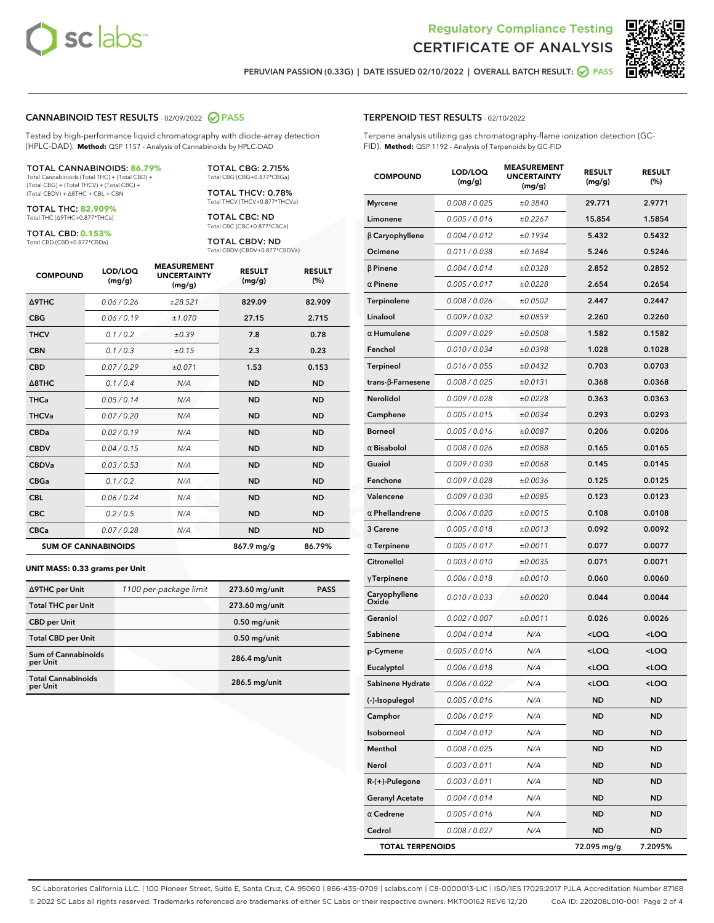



**PERUVIAN PASSION (0.33G) | DATE ISSUED 02/10/2022 | OVERALL BATCH RESULT: PASS**

#### **CANNABINOID TEST RESULTS** - 02/09/2022 **PASS**

Tested by high-performance liquid chromatography with diode-array detection (HPLC-DAD). **Method:** QSP 1157 - Analysis of Cannabinoids by HPLC-DAD

#### TOTAL CANNABINOIDS: **86.79%**

Total Cannabinoids (Total THC) + (Total CBD) + (Total CBG) + (Total THCV) + (Total CBC) + (Total CBDV) + ∆8THC + CBL + CBN

TOTAL THC: **82.909%** Total THC (∆9THC+0.877\*THCa)

TOTAL CBD: **0.153%**

Total CBD (CBD+0.877\*CBDa)

TOTAL CBG: 2.715% Total CBG (CBG+0.877\*CBGa)

TOTAL THCV: 0.78% Total THCV (THCV+0.877\*THCVa)

TOTAL CBC: ND Total CBC (CBC+0.877\*CBCa)

TOTAL CBDV: ND Total CBDV (CBDV+0.877\*CBDVa)

| <b>COMPOUND</b>            | LOD/LOQ<br>(mg/g) | <b>MEASUREMENT</b><br><b>UNCERTAINTY</b><br>(mg/g) | <b>RESULT</b><br>(mg/g) | <b>RESULT</b><br>(%) |
|----------------------------|-------------------|----------------------------------------------------|-------------------------|----------------------|
| Δ9THC                      | 0.06 / 0.26       | ±28.521                                            | 829.09                  | 82.909               |
| <b>CBG</b>                 | 0.06 / 0.19       | ±1.070                                             | 27.15                   | 2.715                |
| <b>THCV</b>                | 0.1 / 0.2         | ±0.39                                              | 7.8                     | 0.78                 |
| <b>CBN</b>                 | 0.1/0.3           | ±0.15                                              | 2.3                     | 0.23                 |
| <b>CBD</b>                 | 0.07/0.29         | ±0.071                                             | 1.53                    | 0.153                |
| $\triangle$ 8THC           | 0.1 / 0.4         | N/A                                                | <b>ND</b>               | <b>ND</b>            |
| <b>THCa</b>                | 0.05/0.14         | N/A                                                | <b>ND</b>               | <b>ND</b>            |
| <b>THCVa</b>               | 0.07/0.20         | N/A                                                | <b>ND</b>               | <b>ND</b>            |
| <b>CBDa</b>                | 0.02/0.19         | N/A                                                | <b>ND</b>               | <b>ND</b>            |
| <b>CBDV</b>                | 0.04 / 0.15       | N/A                                                | <b>ND</b>               | <b>ND</b>            |
| <b>CBDVa</b>               | 0.03/0.53         | N/A                                                | <b>ND</b>               | <b>ND</b>            |
| <b>CBGa</b>                | 0.1 / 0.2         | N/A                                                | <b>ND</b>               | <b>ND</b>            |
| <b>CBL</b>                 | 0.06 / 0.24       | N/A                                                | <b>ND</b>               | <b>ND</b>            |
| <b>CBC</b>                 | 0.2 / 0.5         | N/A                                                | <b>ND</b>               | <b>ND</b>            |
| <b>CBCa</b>                | 0.07 / 0.28       | N/A                                                | <b>ND</b>               | <b>ND</b>            |
| <b>SUM OF CANNABINOIDS</b> |                   |                                                    | $867.9$ mg/g            | 86.79%               |

#### **UNIT MASS: 0.33 grams per Unit**

| ∆9THC per Unit                         | 1100 per-package limit | 273.60 mg/unit | <b>PASS</b> |
|----------------------------------------|------------------------|----------------|-------------|
| <b>Total THC per Unit</b>              |                        | 273.60 mg/unit |             |
| <b>CBD per Unit</b>                    |                        | $0.50$ mg/unit |             |
| <b>Total CBD per Unit</b>              |                        | $0.50$ mg/unit |             |
| <b>Sum of Cannabinoids</b><br>per Unit |                        | 286.4 mg/unit  |             |
| <b>Total Cannabinoids</b><br>per Unit  |                        | 286.5 mg/unit  |             |

| <b>COMPOUND</b>          | LOD/LOQ<br>(mg/g) | <b>MEASUREMENT</b><br><b>UNCERTAINTY</b><br>(mg/g) | <b>RESULT</b><br>(mg/g)                         | <b>RESULT</b><br>(%) |
|--------------------------|-------------------|----------------------------------------------------|-------------------------------------------------|----------------------|
| <b>Myrcene</b>           | 0.008 / 0.025     | ±0.3840                                            | 29.771                                          | 2.9771               |
| Limonene                 | 0.005 / 0.016     | ±0.2267                                            | 15.854                                          | 1.5854               |
| <b>B</b> Caryophyllene   | 0.004 / 0.012     | ±0.1934                                            | 5.432                                           | 0.5432               |
| Ocimene                  | 0.011 / 0.038     | ±0.1684                                            | 5.246                                           | 0.5246               |
| <b>B</b> Pinene          | 0.004 / 0.014     | ±0.0328                                            | 2.852                                           | 0.2852               |
| $\alpha$ Pinene          | 0.005 / 0.017     | ±0.0228                                            | 2.654                                           | 0.2654               |
| Terpinolene              | 0.008 / 0.026     | ±0.0502                                            | 2.447                                           | 0.2447               |
| Linalool                 | 0.009 / 0.032     | ±0.0859                                            | 2.260                                           | 0.2260               |
| $\alpha$ Humulene        | 0.009 / 0.029     | ±0.0508                                            | 1.582                                           | 0.1582               |
| Fenchol                  | 0.010 / 0.034     | ±0.0398                                            | 1.028                                           | 0.1028               |
| Terpineol                | 0.016 / 0.055     | ±0.0432                                            | 0.703                                           | 0.0703               |
| $trans-\beta$ -Farnesene | 0.008 / 0.025     | ±0.0131                                            | 0.368                                           | 0.0368               |
| Nerolidol                | 0.009 / 0.028     | ±0.0228                                            | 0.363                                           | 0.0363               |
| Camphene                 | 0.005 / 0.015     | ±0.0034                                            | 0.293                                           | 0.0293               |
| <b>Borneol</b>           | 0.005 / 0.016     | ±0.0087                                            | 0.206                                           | 0.0206               |
| $\alpha$ Bisabolol       | 0.008 / 0.026     | ±0.0088                                            | 0.165                                           | 0.0165               |
| Guaiol                   | 0.009 / 0.030     | ±0.0068                                            | 0.145                                           | 0.0145               |
| Fenchone                 | 0.009 / 0.028     | ±0.0036                                            | 0.125                                           | 0.0125               |
| Valencene                | 0.009 / 0.030     | ±0.0085                                            | 0.123                                           | 0.0123               |
| $\alpha$ Phellandrene    | 0.006 / 0.020     | ±0.0015                                            | 0.108                                           | 0.0108               |
| 3 Carene                 | 0.005 / 0.018     | ±0.0013                                            | 0.092                                           | 0.0092               |
| $\alpha$ Terpinene       | 0.005 / 0.017     | ±0.0011                                            | 0.077                                           | 0.0077               |
| Citronellol              | 0.003 / 0.010     | ±0.0035                                            | 0.071                                           | 0.0071               |
| $\gamma$ Terpinene       | 0.006 / 0.018     | ±0.0010                                            | 0.060                                           | 0.0060               |
| Caryophyllene<br>Oxide   | 0.010 / 0.033     | ±0.0020                                            | 0.044                                           | 0.0044               |
| Geraniol                 | 0.002 / 0.007     | ±0.0011                                            | 0.026                                           | 0.0026               |
| Sabinene                 | 0.004 / 0.014     | N/A                                                | $<$ LOQ                                         | <loq< th=""></loq<>  |
| p-Cymene                 | 0.005 / 0.016     | N/A                                                | <loq< th=""><th><loq< th=""></loq<></th></loq<> | <loq< th=""></loq<>  |
| Eucalyptol               | 0.006 / 0.018     | N/A                                                | 100                                             | <loq< th=""></loq<>  |
| Sabinene Hydrate         | 0.006 / 0.022     | N/A                                                | $<$ LOQ                                         | <loq< th=""></loq<>  |
| (-)-Isopulegol           | 0.005 / 0.016     | N/A                                                | ND                                              | ND                   |
| Camphor                  | 0.006 / 0.019     | N/A                                                | ND                                              | ND                   |
| Isoborneol               | 0.004 / 0.012     | N/A                                                | ND                                              | <b>ND</b>            |
| Menthol                  | 0.008 / 0.025     | N/A                                                | ND                                              | ND                   |
| Nerol                    | 0.003 / 0.011     | N/A                                                | ND                                              | ND                   |
| R-(+)-Pulegone           | 0.003 / 0.011     | N/A                                                | ND                                              | ND                   |
| <b>Geranyl Acetate</b>   | 0.004 / 0.014     | N/A                                                | ND                                              | ND                   |
| $\alpha$ Cedrene         | 0.005 / 0.016     | N/A                                                | ND                                              | ND                   |
| Cedrol                   | 0.008 / 0.027     | N/A                                                | ND                                              | ND                   |
| <b>TOTAL TERPENOIDS</b>  |                   |                                                    | 72.095 mg/g                                     | 7.2095%              |

SC Laboratories California LLC. | 100 Pioneer Street, Suite E, Santa Cruz, CA 95060 | 866-435-0709 | sclabs.com | C8-0000013-LIC | ISO/IES 17025:2017 PJLA Accreditation Number 87168 © 2022 SC Labs all rights reserved. Trademarks referenced are trademarks of either SC Labs or their respective owners. MKT00162 REV6 12/20 CoA ID: 220208L010-001 Page 2 of 4

# **TERPENOID TEST RESULTS** - 02/10/2022

Terpene analysis utilizing gas chromatography-flame ionization detection (GC-FID). **Method:** QSP 1192 - Analysis of Terpenoids by GC-FID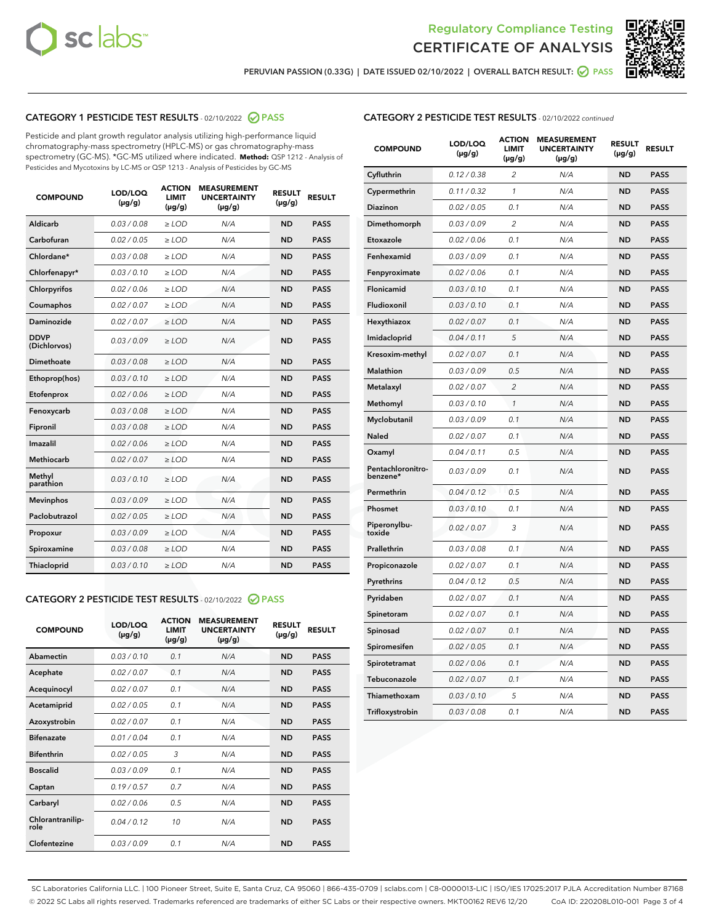



**PERUVIAN PASSION (0.33G) | DATE ISSUED 02/10/2022 | OVERALL BATCH RESULT: PASS**

# **CATEGORY 1 PESTICIDE TEST RESULTS** - 02/10/2022 **PASS**

Pesticide and plant growth regulator analysis utilizing high-performance liquid chromatography-mass spectrometry (HPLC-MS) or gas chromatography-mass spectrometry (GC-MS). \*GC-MS utilized where indicated. **Method:** QSP 1212 - Analysis of Pesticides and Mycotoxins by LC-MS or QSP 1213 - Analysis of Pesticides by GC-MS

| <b>COMPOUND</b>             | LOD/LOQ<br>$(\mu g/g)$ | <b>ACTION</b><br><b>LIMIT</b><br>$(\mu g/g)$ | <b>MEASUREMENT</b><br><b>UNCERTAINTY</b><br>$(\mu g/g)$ | <b>RESULT</b><br>$(\mu g/g)$ | <b>RESULT</b> |
|-----------------------------|------------------------|----------------------------------------------|---------------------------------------------------------|------------------------------|---------------|
| Aldicarb                    | 0.03 / 0.08            | $\ge$ LOD                                    | N/A                                                     | <b>ND</b>                    | <b>PASS</b>   |
| Carbofuran                  | 0.02 / 0.05            | $\ge$ LOD                                    | N/A                                                     | <b>ND</b>                    | <b>PASS</b>   |
| Chlordane*                  | 0.03 / 0.08            | $\ge$ LOD                                    | N/A                                                     | <b>ND</b>                    | <b>PASS</b>   |
| Chlorfenapyr*               | 0.03/0.10              | $\ge$ LOD                                    | N/A                                                     | <b>ND</b>                    | <b>PASS</b>   |
| Chlorpyrifos                | 0.02 / 0.06            | $\ge$ LOD                                    | N/A                                                     | <b>ND</b>                    | <b>PASS</b>   |
| Coumaphos                   | 0.02 / 0.07            | $\ge$ LOD                                    | N/A                                                     | <b>ND</b>                    | <b>PASS</b>   |
| Daminozide                  | 0.02 / 0.07            | $\ge$ LOD                                    | N/A                                                     | <b>ND</b>                    | <b>PASS</b>   |
| <b>DDVP</b><br>(Dichlorvos) | 0.03/0.09              | $>$ LOD                                      | N/A                                                     | <b>ND</b>                    | <b>PASS</b>   |
| Dimethoate                  | 0.03 / 0.08            | $\ge$ LOD                                    | N/A                                                     | <b>ND</b>                    | <b>PASS</b>   |
| Ethoprop(hos)               | 0.03/0.10              | $>$ LOD                                      | N/A                                                     | <b>ND</b>                    | <b>PASS</b>   |
| Etofenprox                  | 0.02 / 0.06            | $\ge$ LOD                                    | N/A                                                     | <b>ND</b>                    | <b>PASS</b>   |
| Fenoxycarb                  | 0.03 / 0.08            | $\ge$ LOD                                    | N/A                                                     | <b>ND</b>                    | <b>PASS</b>   |
| Fipronil                    | 0.03 / 0.08            | $\ge$ LOD                                    | N/A                                                     | <b>ND</b>                    | <b>PASS</b>   |
| Imazalil                    | 0.02 / 0.06            | $\geq$ LOD                                   | N/A                                                     | <b>ND</b>                    | <b>PASS</b>   |
| Methiocarb                  | 0.02 / 0.07            | $\ge$ LOD                                    | N/A                                                     | <b>ND</b>                    | <b>PASS</b>   |
| Methyl<br>parathion         | 0.03/0.10              | $\ge$ LOD                                    | N/A                                                     | <b>ND</b>                    | <b>PASS</b>   |
| <b>Mevinphos</b>            | 0.03/0.09              | $\ge$ LOD                                    | N/A                                                     | <b>ND</b>                    | <b>PASS</b>   |
| Paclobutrazol               | 0.02 / 0.05            | $>$ LOD                                      | N/A                                                     | <b>ND</b>                    | <b>PASS</b>   |
| Propoxur                    | 0.03 / 0.09            | $\ge$ LOD                                    | N/A                                                     | <b>ND</b>                    | <b>PASS</b>   |
| Spiroxamine                 | 0.03 / 0.08            | $\ge$ LOD                                    | N/A                                                     | <b>ND</b>                    | <b>PASS</b>   |
| Thiacloprid                 | 0.03/0.10              | $\ge$ LOD                                    | N/A                                                     | <b>ND</b>                    | <b>PASS</b>   |

#### **CATEGORY 2 PESTICIDE TEST RESULTS** - 02/10/2022 **PASS**

| <b>COMPOUND</b>          | LOD/LOO<br>$(\mu g/g)$ | <b>ACTION</b><br>LIMIT<br>$(\mu g/g)$ | <b>MEASUREMENT</b><br><b>UNCERTAINTY</b><br>$(\mu g/g)$ | <b>RESULT</b><br>$(\mu g/g)$ | <b>RESULT</b> |
|--------------------------|------------------------|---------------------------------------|---------------------------------------------------------|------------------------------|---------------|
| Abamectin                | 0.03/0.10              | 0.1                                   | N/A                                                     | <b>ND</b>                    | <b>PASS</b>   |
| Acephate                 | 0.02/0.07              | 0.1                                   | N/A                                                     | <b>ND</b>                    | <b>PASS</b>   |
| Acequinocyl              | 0.02/0.07              | 0.1                                   | N/A                                                     | <b>ND</b>                    | <b>PASS</b>   |
| Acetamiprid              | 0.02/0.05              | 0.1                                   | N/A                                                     | <b>ND</b>                    | <b>PASS</b>   |
| Azoxystrobin             | 0.02/0.07              | 0.1                                   | N/A                                                     | <b>ND</b>                    | <b>PASS</b>   |
| <b>Bifenazate</b>        | 0.01/0.04              | 0.1                                   | N/A                                                     | <b>ND</b>                    | <b>PASS</b>   |
| <b>Bifenthrin</b>        | 0.02/0.05              | 3                                     | N/A                                                     | <b>ND</b>                    | <b>PASS</b>   |
| <b>Boscalid</b>          | 0.03/0.09              | 0.1                                   | N/A                                                     | <b>ND</b>                    | <b>PASS</b>   |
| Captan                   | 0.19/0.57              | 0.7                                   | N/A                                                     | <b>ND</b>                    | <b>PASS</b>   |
| Carbaryl                 | 0.02/0.06              | 0.5                                   | N/A                                                     | <b>ND</b>                    | <b>PASS</b>   |
| Chlorantranilip-<br>role | 0.04/0.12              | 10                                    | N/A                                                     | <b>ND</b>                    | <b>PASS</b>   |
| Clofentezine             | 0.03/0.09              | 0.1                                   | N/A                                                     | <b>ND</b>                    | <b>PASS</b>   |

# **CATEGORY 2 PESTICIDE TEST RESULTS** - 02/10/2022 continued

| <b>COMPOUND</b>               | LOD/LOQ<br>(µg/g) | <b>ACTION</b><br>LIMIT<br>$(\mu g/g)$ | <b>MEASUREMENT</b><br><b>UNCERTAINTY</b><br>$(\mu g/g)$ | <b>RESULT</b><br>(µg/g) | <b>RESULT</b> |
|-------------------------------|-------------------|---------------------------------------|---------------------------------------------------------|-------------------------|---------------|
| Cyfluthrin                    | 0.12 / 0.38       | 2                                     | N/A                                                     | ND                      | <b>PASS</b>   |
| Cypermethrin                  | 0.11 / 0.32       | 1                                     | N/A                                                     | ND                      | <b>PASS</b>   |
| Diazinon                      | 0.02 / 0.05       | 0.1                                   | N/A                                                     | ND                      | <b>PASS</b>   |
| Dimethomorph                  | 0.03 / 0.09       | 2                                     | N/A                                                     | <b>ND</b>               | <b>PASS</b>   |
| Etoxazole                     | 0.02 / 0.06       | 0.1                                   | N/A                                                     | ND                      | <b>PASS</b>   |
| Fenhexamid                    | 0.03 / 0.09       | 0.1                                   | N/A                                                     | ND                      | <b>PASS</b>   |
| Fenpyroximate                 | 0.02 / 0.06       | 0.1                                   | N/A                                                     | ND                      | <b>PASS</b>   |
| Flonicamid                    | 0.03 / 0.10       | 0.1                                   | N/A                                                     | <b>ND</b>               | <b>PASS</b>   |
| Fludioxonil                   | 0.03 / 0.10       | 0.1                                   | N/A                                                     | ND                      | <b>PASS</b>   |
| Hexythiazox                   | 0.02 / 0.07       | 0.1                                   | N/A                                                     | <b>ND</b>               | <b>PASS</b>   |
| Imidacloprid                  | 0.04 / 0.11       | 5                                     | N/A                                                     | <b>ND</b>               | <b>PASS</b>   |
| Kresoxim-methyl               | 0.02 / 0.07       | 0.1                                   | N/A                                                     | ND                      | <b>PASS</b>   |
| Malathion                     | 0.03 / 0.09       | 0.5                                   | N/A                                                     | <b>ND</b>               | <b>PASS</b>   |
| Metalaxyl                     | 0.02 / 0.07       | $\overline{c}$                        | N/A                                                     | <b>ND</b>               | <b>PASS</b>   |
| Methomyl                      | 0.03 / 0.10       | $\mathcal{I}$                         | N/A                                                     | ND                      | <b>PASS</b>   |
| Myclobutanil                  | 0.03 / 0.09       | 0.1                                   | N/A                                                     | <b>ND</b>               | <b>PASS</b>   |
| Naled                         | 0.02 / 0.07       | 0.1                                   | N/A                                                     | <b>ND</b>               | <b>PASS</b>   |
| Oxamyl                        | 0.04 / 0.11       | 0.5                                   | N/A                                                     | ND                      | <b>PASS</b>   |
| Pentachloronitro-<br>benzene* | 0.03 / 0.09       | 0.1                                   | N/A                                                     | <b>ND</b>               | <b>PASS</b>   |
| Permethrin                    | 0.04 / 0.12       | 0.5                                   | N/A                                                     | <b>ND</b>               | <b>PASS</b>   |
| Phosmet                       | 0.03 / 0.10       | 0.1                                   | N/A                                                     | ND                      | <b>PASS</b>   |
| Piperonylbu-<br>toxide        | 0.02 / 0.07       | 3                                     | N/A                                                     | <b>ND</b>               | <b>PASS</b>   |
| Prallethrin                   | 0.03 / 0.08       | 0.1                                   | N/A                                                     | ND                      | <b>PASS</b>   |
| Propiconazole                 | 0.02 / 0.07       | 0.1                                   | N/A                                                     | ND                      | <b>PASS</b>   |
| Pyrethrins                    | 0.04 / 0.12       | 0.5                                   | N/A                                                     | ND                      | <b>PASS</b>   |
| Pyridaben                     | 0.02 / 0.07       | 0.1                                   | N/A                                                     | <b>ND</b>               | <b>PASS</b>   |
| Spinetoram                    | 0.02 / 0.07       | 0.1                                   | N/A                                                     | ND                      | <b>PASS</b>   |
| Spinosad                      | 0.02 / 0.07       | 0.1                                   | N/A                                                     | <b>ND</b>               | <b>PASS</b>   |
| Spiromesifen                  | 0.02 / 0.05       | 0.1                                   | N/A                                                     | ND                      | <b>PASS</b>   |
| Spirotetramat                 | 0.02 / 0.06       | 0.1                                   | N/A                                                     | ND                      | <b>PASS</b>   |
| Tebuconazole                  | 0.02 / 0.07       | 0.1                                   | N/A                                                     | <b>ND</b>               | <b>PASS</b>   |
| Thiamethoxam                  | 0.03 / 0.10       | 5                                     | N/A                                                     | ND                      | <b>PASS</b>   |
| Trifloxystrobin               | 0.03 / 0.08       | 0.1                                   | N/A                                                     | <b>ND</b>               | <b>PASS</b>   |

SC Laboratories California LLC. | 100 Pioneer Street, Suite E, Santa Cruz, CA 95060 | 866-435-0709 | sclabs.com | C8-0000013-LIC | ISO/IES 17025:2017 PJLA Accreditation Number 87168 © 2022 SC Labs all rights reserved. Trademarks referenced are trademarks of either SC Labs or their respective owners. MKT00162 REV6 12/20 CoA ID: 220208L010-001 Page 3 of 4